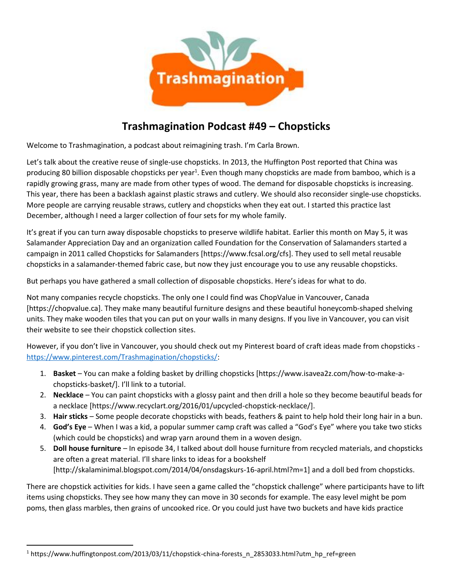

## **Trashmagination Podcast #49 – Chopsticks**

Welcome to Trashmagination, a podcast about reimagining trash. I'm Carla Brown.

Let's talk about the creative reuse of single-use chopsticks. In 2013, the Huffington Post reported that China was producing 80 billion disposable chopsticks per year<sup>1</sup>. Even though many chopsticks are made from bamboo, which is a rapidly growing grass, many are made from other types of wood. The demand for disposable chopsticks is increasing. This year, there has been a backlash against plastic straws and cutlery. We should also reconsider single-use chopsticks. More people are carrying reusable straws, cutlery and chopsticks when they eat out. I started this practice last December, although I need a larger collection of four sets for my whole family.

It's great if you can turn away disposable chopsticks to preserve wildlife habitat. Earlier this month on May 5, it was Salamander Appreciation Day and an organization called Foundation for the Conservation of Salamanders started a campaign in 2011 called Chopsticks for Salamanders [https://www.fcsal.org/cfs]. They used to sell metal reusable chopsticks in a salamander-themed fabric case, but now they just encourage you to use any reusable chopsticks.

But perhaps you have gathered a small collection of disposable chopsticks. Here's ideas for what to do.

Not many companies recycle chopsticks. The only one I could find was ChopValue in Vancouver, Canada [https://chopvalue.ca]. They make many beautiful furniture designs and these beautiful honeycomb-shaped shelving units. They make wooden tiles that you can put on your walls in many designs. If you live in Vancouver, you can visit their website to see their chopstick collection sites.

However, if you don't live in Vancouver, you should check out my Pinterest board of craft ideas made from chopsticks https://www.pinterest.com/Trashmagination/chopsticks/:

- 1. **Basket** You can make a folding basket by drilling chopsticks [https://www.isavea2z.com/how-to-make-a chopsticks-basket/]. I'll link to a tutorial.
- 2. **Necklace** You can paint chopsticks with a glossy paint and then drill a hole so they become beautiful beads for a necklace [https://www.recyclart.org/2016/01/upcycled-chopstick-necklace/].
- 3. **Hair sticks** Some people decorate chopsticks with beads, feathers & paint to help hold their long hair in a bun.
- 4. **God's Eye** When I was a kid, a popular summer camp craft was called a "God's Eye" where you take two sticks (which could be chopsticks) and wrap yarn around them in a woven design.
- 5. **Doll house furniture** In episode 34, I talked about doll house furniture from recycled materials, and chopsticks are often a great material. I'll share links to ideas for a bookshelf [http://skalaminimal.blogspot.com/2014/04/onsdagskurs-16-april.html?m=1] and a doll bed from chopsticks.

There are chopstick activities for kids. I have seen a game called the "chopstick challenge" where participants have to lift items using chopsticks. They see how many they can move in 30 seconds for example. The easy level might be pom poms, then glass marbles, then grains of uncooked rice. Or you could just have two buckets and have kids practice

 $1$  https://www.huffingtonpost.com/2013/03/11/chopstick-china-forests\_n\_2853033.html?utm\_hp\_ref=green